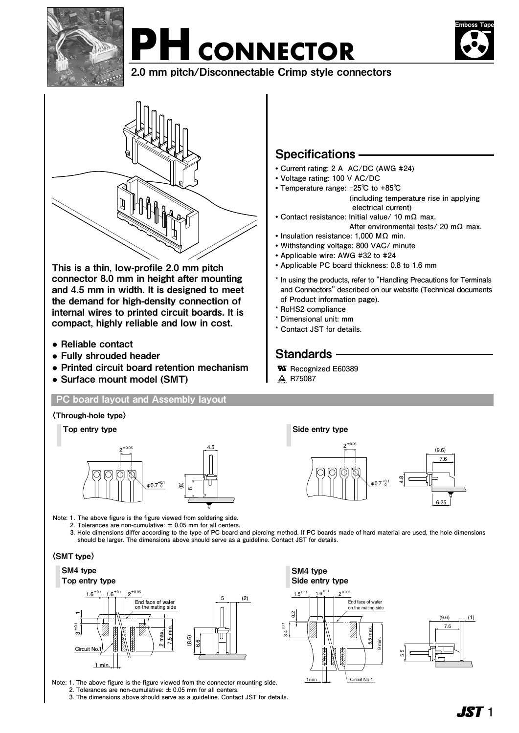

# PH CONNECTOR



2.0 mm pitch/Disconnectable Crimp style connectors



This is a thin, low-profile 2.0 mm pitch connector 8.0 mm in height after mounting and 4.5 mm in width. It is designed to meet the demand for high-density connection of internal wires to printed circuit boards. It is compact, highly reliable and low in cost.

- **●** Reliable contact
- **●** Fully shrouded header
- **●** Printed circuit board retention mechanism
- **●** Surface mount model (SMT)

#### **PC board layout and Assembly layout**

## Specifications

- **• Current rating: 2 A AC/DC (AWG #24)**
- **• Voltage rating: 100 V AC/DC**
- **• Temperature range: -25℃ to +85℃ (including temperature rise in applying electrical current)**
- **• Contact resistance: Initial value/ 10 mΩ max.**
- **After environmental tests/ 20 mΩ max.**
- **• Insulation resistance: 1,000 MΩ min. • Withstanding voltage: 800 VAC/ minute**
- **• Applicable wire: AWG #32 to #24**
- **• Applicable PC board thickness: 0.8 to 1.6 mm**
- **\* In using the products, refer to "Handling Precautions for Terminals and Connectors" described on our website (Technical documents of Product information page).**
- **\* RoHS2 compliance**
- **\* Dimensional unit: mm**
- **\* Contact JST for details.**

### Standards -

- **Recognized E60389 ®**
- **R75087**

**® ® ®**





**Note: 1. The above figure is the figure viewed from soldering side.**

 **2. Tolerances are non-cumulative: ± 0.05 mm for all centers.**

 **3. Hole dimensions differ according to the type of PC board and piercing method. If PC boards made of hard material are used, the hole dimensions should be larger. The dimensions above should serve as a guideline. Contact JST for details.**

> ±0.1 3.4

 $\rm{S}$ 

SM4 type Side entry type

1min.

#### 〈SMT type〉

#### SM4 type Top entry type



**Note: 1 . The above figure is the figure viewed from the connector mounting side.**

 **2. Tolerances are non-cumulative: ± 0.05 mm for all centers.**

**3. The dimensions above should serve as a guideline. Contact JST for details.** 



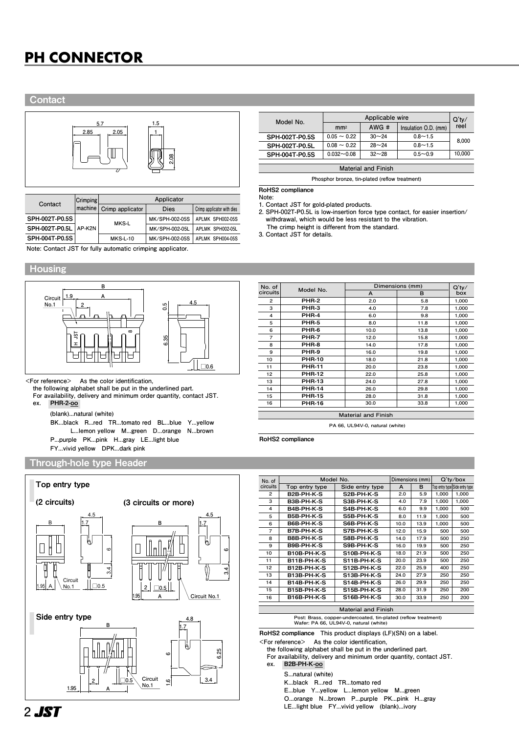# **PH CONNECTOR PH CONNECTOR**

#### **Contact**



| Contact                 | <b>Crimping</b><br>machine | Applicator       |                |                            |  |  |
|-------------------------|----------------------------|------------------|----------------|----------------------------|--|--|
|                         |                            | Crimp applicator | <b>Dies</b>    | Crimp applicator with dies |  |  |
| SPH-002T-P0.5S          |                            | MKS-L            | MK/SPH-002-05S | APLMK SPH002-05S           |  |  |
| SPH-002T-P0.5L   AP-K2N |                            |                  | MK/SPH-002-05L | APLMK SPH002-05L           |  |  |
| SPH-004T-P0.5S          |                            | <b>MKS-L-10</b>  | MK/SPH-002-05S | APLMK SPH004-05S           |  |  |

**Model No. Applicable wire**<br> **AWG #**  $\left| \frac{1}{2} \right|$  **AWG #**  $\left| \frac{1}{2} \right|$  **AWG #**  $\left| \frac{1}{2} \right|$ **Insulation O.D. (mm) Q'ty/ reel Material and Finish** SPH-002T-P0.5S SPH-002T-P0.5L SPH-004T-P0.5S  $0.05 \sim 0.22$  $0.08 \sim 0.22$ **0.032~0.08 30~24 28~24 32~28 0.8~1.5 0.8~1.5 0.5~0.9 8,000 10,000**

**Phosphor bronze, tin-plated (reflow treatment)**

RoHS2 compliance

**Note: 1. Contact JST for gold-plated products.**

**2. SPH-002T-P0.5L is low-insertion force type contact, for easier insertion/ withdrawal, which would be less resistant to the vibration. The crimp height is different from the standard.**

**3. Contact JST for details.**

**Note: Contact JST for fully automatic crimping applicator.**

#### **Housing**



**<For reference> As the color identification,** 

**the following alphabet shall be put in the underlined part. For availability, delivery and minimum order quantity, contact JST.**

**ex.** PHR-2-oo-

**(blank)...natural (white)**

**BK...black R...red TR...tomato red BL...blue Y...yellow L...lemon yellow M...green D...orange N...brown P...purple PK...pink H...gray LE...light blue FY...vivid yellow DPK...dark pink**

#### Through-hole type Header



| No. of                     | Model No.     | Dimensions (mm) | $Q'$ ty/ |       |  |
|----------------------------|---------------|-----------------|----------|-------|--|
| circuits                   |               | A               | в        | box   |  |
| $\overline{c}$             | PHR-2         | 2.0             | 5.8      | 1,000 |  |
| 3                          | PHR-3         | 4.0             | 7.8      | 1,000 |  |
| 4                          | PHR-4         | 6.0             | 9.8      | 1,000 |  |
| 5                          | PHR-5         | 8.0             | 11.8     | 1,000 |  |
| 6                          | PHR-6         | 10.0            | 13.8     | 1,000 |  |
| $\overline{7}$             | PHR-7         | 12.0            | 15.8     | 1,000 |  |
| 8                          | PHR-8         | 14.0            | 17.8     | 1,000 |  |
| 9                          | PHR-9         | 16.0            | 19.8     | 1,000 |  |
| 10                         | <b>PHR-10</b> | 18.0            | 21.8     | 1,000 |  |
| 11                         | <b>PHR-11</b> | 20.0            | 23.8     | 1,000 |  |
| 12                         | <b>PHR-12</b> | 22.0            | 25.8     | 1,000 |  |
| 13                         | <b>PHR-13</b> | 24.0            | 27.8     | 1,000 |  |
| 14                         | <b>PHR-14</b> | 26.0            | 29.8     | 1,000 |  |
| 15                         | <b>PHR-15</b> | 28.0            | 31.8     | 1,000 |  |
| 16                         | <b>PHR-16</b> | 30.0            | 33.8     | 1,000 |  |
| <b>Material and Finish</b> |               |                 |          |       |  |

**PA 66, UL94V-0, natural (white)**

RoHS2 compliance

| No. of                     | Model No.          |                    | Dimensions (mm) |      | $Q'$ ty/box |                                |
|----------------------------|--------------------|--------------------|-----------------|------|-------------|--------------------------------|
| circuits                   | Top entry type     | Side entry type    | A               | B    |             | Top entry type Side entry type |
| $\overline{2}$             | B2B-PH-K-S         | S2B-PH-K-S         | 2.0             | 5.9  | 1,000       | 1,000                          |
| 3                          | B3B-PH-K-S         | S3B-PH-K-S         | 4.0             | 7.9  | 1,000       | 1,000                          |
| 4                          | B4B-PH-K-S         | S4B-PH-K-S         | 6.0             | 9.9  | 1.000       | 500                            |
| 5                          | B5B-PH-K-S         | S5B-PH-K-S         | 8.0             | 11.9 | 1,000       | 500                            |
| 6                          | B6B-PH-K-S         | S6B-PH-K-S         | 10.0            | 13.9 | 1,000       | 500                            |
| 7                          | B7B-PH-K-S         | S7B-PH-K-S         | 12.0            | 15.9 | 500         | 500                            |
| 8                          | B8B-PH-K-S         | S8B-PH-K-S         | 14.0            | 17.9 | 500         | 250                            |
| 9                          | B9B-PH-K-S         | S9B-PH-K-S         | 16.0            | 19.9 | 500         | 250                            |
| 10                         | <b>B10B-PH-K-S</b> | <b>S10B-PH-K-S</b> | 18.0            | 21.9 | 500         | 250                            |
| 11                         | <b>B11B-PH-K-S</b> | S11B-PH-K-S        | 20.0            | 23.9 | 500         | 250                            |
| 12                         | B12B-PH-K-S        | S12B-PH-K-S        | 22.0            | 25.9 | 400         | 250                            |
| 13                         | B13B-PH-K-S        | S13B-PH-K-S        | 24.0            | 27.9 | 250         | 250                            |
| 14                         | B14B-PH-K-S        | S14B-PH-K-S        | 26.0            | 29.9 | 250         | 250                            |
| 15                         | B15B-PH-K-S        | S15B-PH-K-S        | 28.0            | 31.9 | 250         | 200                            |
| 16                         | B16B-PH-K-S        | S16B-PH-K-S        | 30.0            | 33.9 | 250         | 200                            |
| <b>Material and Finish</b> |                    |                    |                 |      |             |                                |

# **Post: Brass, copper-undercoated, tin-plated (reflow treatment) Wafer: PA 66, UL94V-0, natural (white)**

RoHS2 compliance **This product displays (LF)(SN) on a label. <For reference> As the color identification,** 

**the following alphabet shall be put in the underlined part.**

**For availability, delivery and minimum order quantity, contact JST.**

**ex.** B2B-PH-K-oo-

**S...natural (white)** 

**K...black R...red TR...tomato red** 

**E...blue Y...yellow L...lemon yellow M...green** 

**O...orange N...brown P...purple PK...pink H...gray** 

**LE...light blue FY...vivid yellow (blank)...ivory**